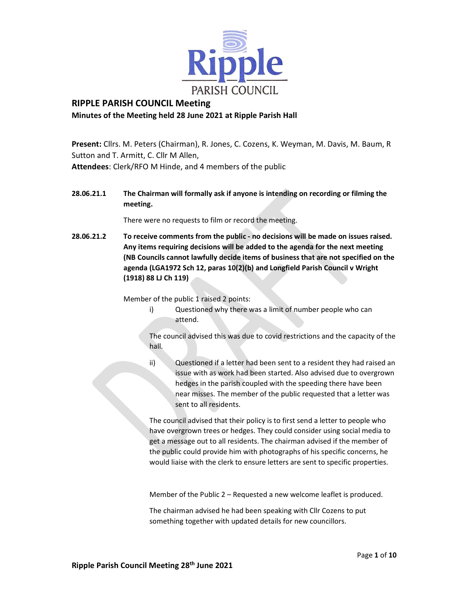

# RIPPLE PARISH COUNCIL Meeting Minutes of the Meeting held 28 June 2021 at Ripple Parish Hall

 Present: Cllrs. M. Peters (Chairman), R. Jones, C. Cozens, K. Weyman, M. Davis, M. Baum, R Sutton and T. Armitt, C. Cllr M Allen, Attendees: Clerk/RFO M Hinde, and 4 members of the public

# 28.06.21.1 The Chairman will formally ask if anyone is intending on recording or filming the meeting.

There were no requests to film or record the meeting.

28.06.21.2 To receive comments from the public - no decisions will be made on issues raised. Any items requiring decisions will be added to the agenda for the next meeting (NB Councils cannot lawfully decide items of business that are not specified on the agenda (LGA1972 Sch 12, paras 10(2)(b) and Longfield Parish Council v Wright (1918) 88 LJ Ch 119)

Member of the public 1 raised 2 points:

i) Questioned why there was a limit of number people who can attend.

The council advised this was due to covid restrictions and the capacity of the hall.

ii) Questioned if a letter had been sent to a resident they had raised an issue with as work had been started. Also advised due to overgrown hedges in the parish coupled with the speeding there have been near misses. The member of the public requested that a letter was sent to all residents.

The council advised that their policy is to first send a letter to people who have overgrown trees or hedges. They could consider using social media to get a message out to all residents. The chairman advised if the member of the public could provide him with photographs of his specific concerns, he would liaise with the clerk to ensure letters are sent to specific properties.

Member of the Public 2 – Requested a new welcome leaflet is produced.

 The chairman advised he had been speaking with Cllr Cozens to put something together with updated details for new councillors.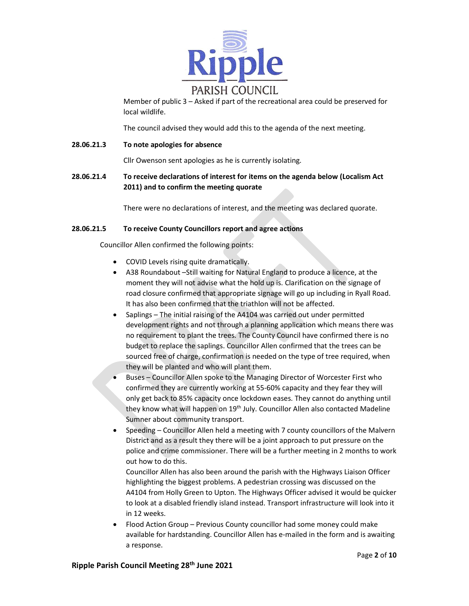

Member of public 3 – Asked if part of the recreational area could be preserved for local wildlife.

The council advised they would add this to the agenda of the next meeting.

# 28.06.21.3 To note apologies for absence

Cllr Owenson sent apologies as he is currently isolating.

28.06.21.4 To receive declarations of interest for items on the agenda below (Localism Act 2011) and to confirm the meeting quorate

There were no declarations of interest, and the meeting was declared quorate.

# 28.06.21.5 To receive County Councillors report and agree actions

Councillor Allen confirmed the following points:

- **COVID Levels rising quite dramatically.**
- A38 Roundabout –Still waiting for Natural England to produce a licence, at the moment they will not advise what the hold up is. Clarification on the signage of road closure confirmed that appropriate signage will go up including in Ryall Road. It has also been confirmed that the triathlon will not be affected.
- Saplings The initial raising of the A4104 was carried out under permitted development rights and not through a planning application which means there was no requirement to plant the trees. The County Council have confirmed there is no budget to replace the saplings. Councillor Allen confirmed that the trees can be sourced free of charge, confirmation is needed on the type of tree required, when they will be planted and who will plant them.
- Buses Councillor Allen spoke to the Managing Director of Worcester First who confirmed they are currently working at 55-60% capacity and they fear they will only get back to 85% capacity once lockdown eases. They cannot do anything until they know what will happen on 19<sup>th</sup> July. Councillor Allen also contacted Madeline Sumner about community transport.
- Speeding Councillor Allen held a meeting with 7 county councillors of the Malvern District and as a result they there will be a joint approach to put pressure on the police and crime commissioner. There will be a further meeting in 2 months to work out how to do this.

Councillor Allen has also been around the parish with the Highways Liaison Officer highlighting the biggest problems. A pedestrian crossing was discussed on the A4104 from Holly Green to Upton. The Highways Officer advised it would be quicker to look at a disabled friendly island instead. Transport infrastructure will look into it in 12 weeks.

 Flood Action Group – Previous County councillor had some money could make available for hardstanding. Councillor Allen has e-mailed in the form and is awaiting a response.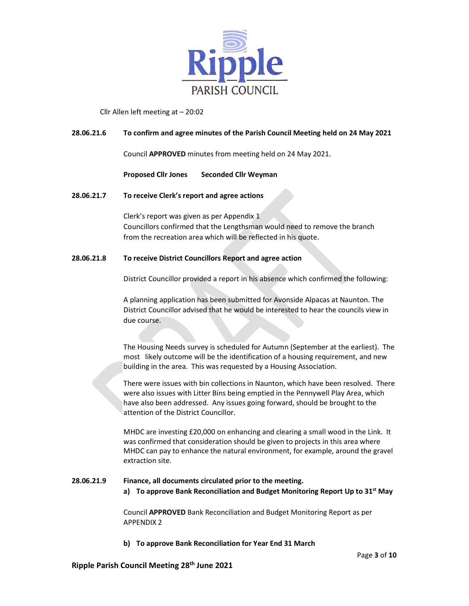

# Cllr Allen left meeting at – 20:02

## 28.06.21.6 To confirm and agree minutes of the Parish Council Meeting held on 24 May 2021

Council APPROVED minutes from meeting held on 24 May 2021.

### Proposed Cllr Jones Seconded Cllr Weyman

### 28.06.21.7 To receive Clerk's report and agree actions

Clerk's report was given as per Appendix 1 Councillors confirmed that the Lengthsman would need to remove the branch from the recreation area which will be reflected in his quote.

### 28.06.21.8 To receive District Councillors Report and agree action

District Councillor provided a report in his absence which confirmed the following:

A planning application has been submitted for Avonside Alpacas at Naunton. The District Councillor advised that he would be interested to hear the councils view in due course.

The Housing Needs survey is scheduled for Autumn (September at the earliest). The most likely outcome will be the identification of a housing requirement, and new building in the area. This was requested by a Housing Association.

There were issues with bin collections in Naunton, which have been resolved. There were also issues with Litter Bins being emptied in the Pennywell Play Area, which have also been addressed. Any issues going forward, should be brought to the attention of the District Councillor.

MHDC are investing £20,000 on enhancing and clearing a small wood in the Link. It was confirmed that consideration should be given to projects in this area where MHDC can pay to enhance the natural environment, for example, around the gravel extraction site.

# 28.06.21.9 Finance, all documents circulated prior to the meeting.

a) To approve Bank Reconciliation and Budget Monitoring Report Up to 31<sup>st</sup> May

Council APPROVED Bank Reconciliation and Budget Monitoring Report as per APPENDIX 2

#### b) To approve Bank Reconciliation for Year End 31 March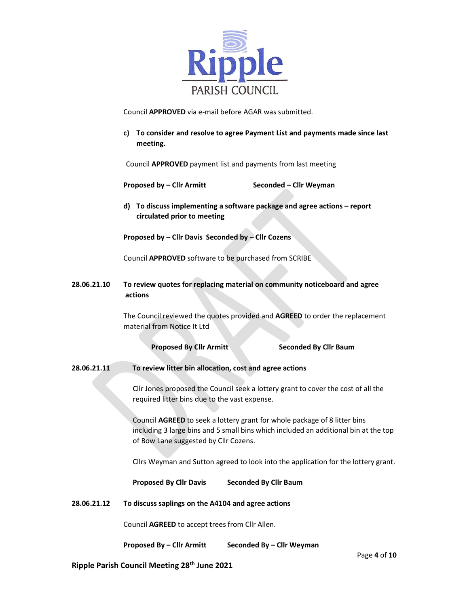

Council APPROVED via e-mail before AGAR was submitted.

c) To consider and resolve to agree Payment List and payments made since last meeting.

Council APPROVED payment list and payments from last meeting

Proposed by – Cllr Armitt Seconded – Cllr Weyman

d) To discuss implementing a software package and agree actions – report circulated prior to meeting

Proposed by – Cllr Davis Seconded by – Cllr Cozens

Council APPROVED software to be purchased from SCRIBE

28.06.21.10 To review quotes for replacing material on community noticeboard and agree actions

> The Council reviewed the quotes provided and AGREED to order the replacement material from Notice It Ltd

> > Proposed By Cllr Armitt Seconded By Cllr Baum

28.06.21.11 To review litter bin allocation, cost and agree actions

Cllr Jones proposed the Council seek a lottery grant to cover the cost of all the required litter bins due to the vast expense.

Council AGREED to seek a lottery grant for whole package of 8 litter bins including 3 large bins and 5 small bins which included an additional bin at the top of Bow Lane suggested by Cllr Cozens.

Cllrs Weyman and Sutton agreed to look into the application for the lottery grant.

Proposed By Cllr Davis Seconded By Cllr Baum

28.06.21.12 To discuss saplings on the A4104 and agree actions

Council AGREED to accept trees from Cllr Allen.

Proposed By – Cllr Armitt Seconded By – Cllr Weyman

Ripple Parish Council Meeting 28th June 2021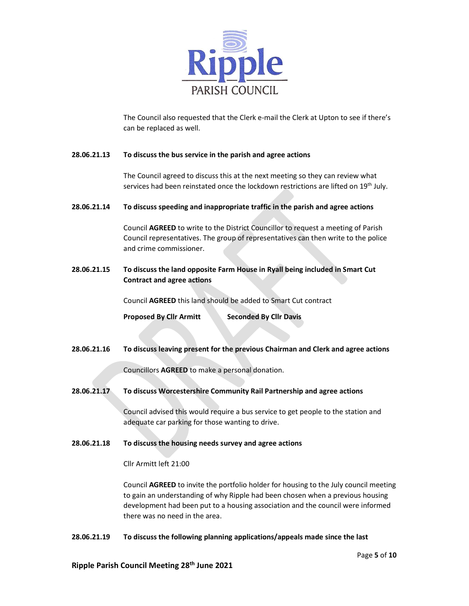

The Council also requested that the Clerk e-mail the Clerk at Upton to see if there's can be replaced as well.

# 28.06.21.13 To discuss the bus service in the parish and agree actions

The Council agreed to discuss this at the next meeting so they can review what services had been reinstated once the lockdown restrictions are lifted on 19<sup>th</sup> July.

### 28.06.21.14 To discuss speeding and inappropriate traffic in the parish and agree actions

Council AGREED to write to the District Councillor to request a meeting of Parish Council representatives. The group of representatives can then write to the police and crime commissioner.

28.06.21.15 To discuss the land opposite Farm House in Ryall being included in Smart Cut Contract and agree actions

Council AGREED this land should be added to Smart Cut contract

Proposed By Cllr Armitt Seconded By Cllr Davis

28.06.21.16 To discuss leaving present for the previous Chairman and Clerk and agree actions

Councillors AGREED to make a personal donation.

28.06.21.17 To discuss Worcestershire Community Rail Partnership and agree actions

Council advised this would require a bus service to get people to the station and adequate car parking for those wanting to drive.

### 28.06.21.18 To discuss the housing needs survey and agree actions

Cllr Armitt left 21:00

Council AGREED to invite the portfolio holder for housing to the July council meeting to gain an understanding of why Ripple had been chosen when a previous housing development had been put to a housing association and the council were informed there was no need in the area.

#### 28.06.21.19 To discuss the following planning applications/appeals made since the last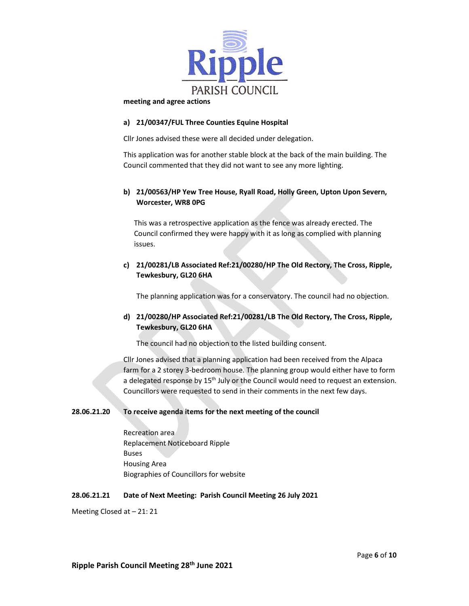

#### meeting and agree actions

## a) 21/00347/FUL Three Counties Equine Hospital

Cllr Jones advised these were all decided under delegation.

This application was for another stable block at the back of the main building. The Council commented that they did not want to see any more lighting.

# b) 21/00563/HP Yew Tree House, Ryall Road, Holly Green, Upton Upon Severn, Worcester, WR8 0PG

This was a retrospective application as the fence was already erected. The Council confirmed they were happy with it as long as complied with planning issues.

# c) 21/00281/LB Associated Ref:21/00280/HP The Old Rectory, The Cross, Ripple, Tewkesbury, GL20 6HA

The planning application was for a conservatory. The council had no objection.

# d) 21/00280/HP Associated Ref:21/00281/LB The Old Rectory, The Cross, Ripple, Tewkesbury, GL20 6HA

The council had no objection to the listed building consent.

Cllr Jones advised that a planning application had been received from the Alpaca farm for a 2 storey 3-bedroom house. The planning group would either have to form a delegated response by 15<sup>th</sup> July or the Council would need to request an extension. Councillors were requested to send in their comments in the next few days.

# 28.06.21.20 To receive agenda items for the next meeting of the council

Recreation area Replacement Noticeboard Ripple Buses Housing Area Biographies of Councillors for website

# 28.06.21.21 Date of Next Meeting: Parish Council Meeting 26 July 2021

Meeting Closed at – 21: 21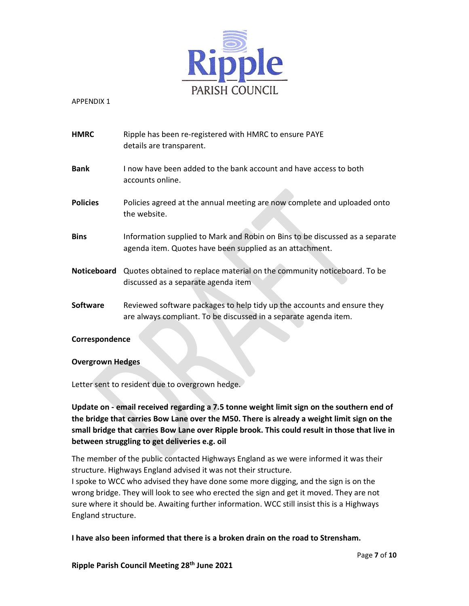

APPENDIX 1

| HMRC            | Ripple has been re-registered with HMRC to ensure PAYE<br>details are transparent.                                                          |
|-----------------|---------------------------------------------------------------------------------------------------------------------------------------------|
| <b>Bank</b>     | I now have been added to the bank account and have access to both<br>accounts online.                                                       |
| <b>Policies</b> | Policies agreed at the annual meeting are now complete and uploaded onto<br>the website.                                                    |
| Bins            | Information supplied to Mark and Robin on Bins to be discussed as a separate<br>agenda item. Quotes have been supplied as an attachment.    |
|                 | Noticeboard Quotes obtained to replace material on the community noticeboard. To be<br>discussed as a separate agenda item                  |
| <b>Software</b> | Reviewed software packages to help tidy up the accounts and ensure they<br>are always compliant. To be discussed in a separate agenda item. |

# Correspondence

# Overgrown Hedges

Letter sent to resident due to overgrown hedge.<br>Update on - email received regarding a 7.5 tonne weight limit sign on the southern end of the bridge that carries Bow Lane over the M50. There is already a weight limit sign on the small bridge that carries Bow Lane over Ripple brook. This could result in those that live in between struggling to get deliveries e.g. oil

The member of the public contacted Highways England as we were informed it was their structure. Highways England advised it was not their structure.

I spoke to WCC who advised they have done some more digging, and the sign is on the wrong bridge. They will look to see who erected the sign and get it moved. They are not sure where it should be. Awaiting further information. WCC still insist this is a Highways England structure.

I have also been informed that there is a broken drain on the road to Strensham.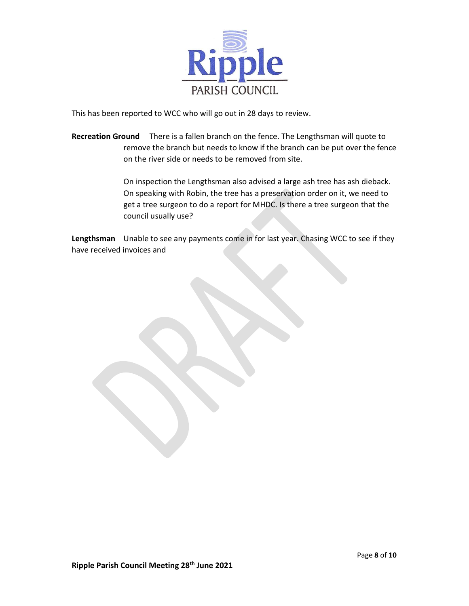

This has been reported to WCC who will go out in 28 days to review.

Recreation Ground There is a fallen branch on the fence. The Lengthsman will quote to remove the branch but needs to know if the branch can be put over the fence on the river side or needs to be removed from site.

> On inspection the Lengthsman also advised a large ash tree has ash dieback. On speaking with Robin, the tree has a preservation order on it, we need to get a tree surgeon to do a report for MHDC. Is there a tree surgeon that the council usually use?

Lengthsman Unable to see any payments come in for last year. Chasing WCC to see if they have received invoices and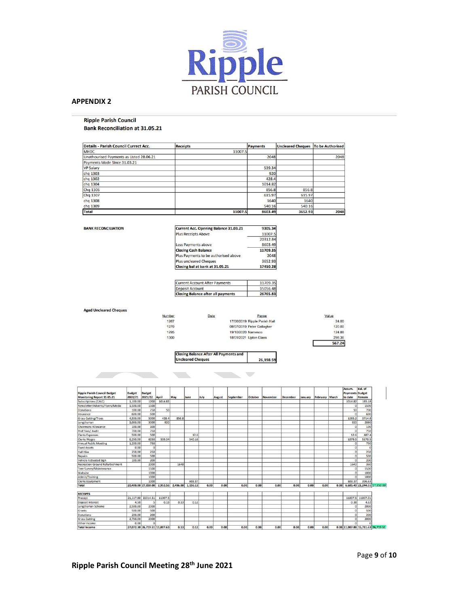

#### APPENDIX 2

#### **Ripple Parish Council Bank Reconciliation at 31.05.21**

| <b>Details - Parish Council Currect Acc.</b> | <b>Receipts</b> | Payments | <b>Uncleared Cheques</b> | To be Authorised |
|----------------------------------------------|-----------------|----------|--------------------------|------------------|
| <b>MHDC</b>                                  | 11007.5         |          |                          |                  |
| Unathourised Payments as Listed 28.06.21     |                 | 2048     |                          | 2048             |
| Payments Made Since 31.03.21                 |                 |          |                          |                  |
| <b>VP Salary</b>                             |                 | 539.34   |                          |                  |
| chq 1303                                     |                 | 920      |                          |                  |
| chq 1302                                     |                 | 428.4    |                          |                  |
| chq 1304                                     |                 | 1014.82  |                          |                  |
| Chq 1306                                     |                 | 856.8    | 856.8                    |                  |
| Chq 1307                                     |                 | 615.97   | 615.97                   |                  |
| chq 1308                                     |                 | 1640     | 1640                     |                  |
| chq 1309                                     |                 | 540.16   | 540.16                   |                  |
| <b>Total</b>                                 | 11007.5         | 8603.49  | 3652.93                  | 2048             |

#### **BANK RECONCILIATION**

| <b>Current Acc. Opening Balance 31.03.21</b> | 9305.34  |
|----------------------------------------------|----------|
| <b>Plus Receipts Above</b>                   | 11007.5  |
|                                              | 20312.84 |
| Less Payments above                          | 8603.49  |
| <b>Closing Cash Balance</b>                  | 11709.35 |
| Plus Payments to be authorised above         | 2048     |
| <b>Plus uncleared Cheques</b>                | 3652.93  |
| Closing bal at bank at 31.05.21              | 17410.28 |

| <b>Closing Balance after all payments</b> | 26765.83 |
|-------------------------------------------|----------|
| Deposit Account                           | 15056.48 |
| <b>Current Account After Payments</b>     | 11709.35 |

#### **Aged Uncleared Cheques**

| Number | Date | Payee                         | Value |
|--------|------|-------------------------------|-------|
| 1267   |      | 17/06/2019 Ripple Parish Hall |       |
| 1270   |      | 08/07/2019 Peter Gallagher    |       |
| 1295   |      | 19/10/2020 Namesco            |       |
| 1300   |      | 18/01/2021 Upton Glass        |       |
|        |      |                               |       |

26,198.59

**Closing Balance After All Payments and Incleared Cheques** 

| <b>Ripple Parish Council Budget</b><br>Monitoring Report 31.05.21 | <b>Budget</b><br>2020/21 | <b>Budget</b><br>2021/22 | April                         | May      | June     | July | August | September | October | November | <b>December</b> | January | February March |      | Accum.<br><b>Payments Budget</b><br>to date | Bal. of<br>Remain                  |  |
|-------------------------------------------------------------------|--------------------------|--------------------------|-------------------------------|----------|----------|------|--------|-----------|---------|----------|-----------------|---------|----------------|------|---------------------------------------------|------------------------------------|--|
| Subscriptions (CALC)                                              | 1,100.00                 | 1200                     | 1014.82                       |          |          |      |        |           |         |          |                 |         |                |      | 1014.82                                     | 185.18                             |  |
| Newsletter/Adverts/Flyers/Media                                   | 1,500.00                 | 1500                     |                               |          |          |      |        |           |         |          |                 |         |                |      | $\Omega$                                    | 1500                               |  |
| Donations                                                         | 100.00                   | 750                      | 50                            |          |          |      |        |           |         |          |                 |         |                |      | 50                                          | 700                                |  |
| Insurance                                                         | 600.00                   | 600                      |                               |          |          |      |        |           |         |          |                 |         |                |      | $\Omega$                                    | 600                                |  |
| <b>Grass Cutting/Trees</b>                                        | 4,500.00                 | 5000                     | 428.4                         | 856.8    |          |      |        |           |         |          |                 |         |                |      | 1285.2                                      | 3714.8                             |  |
| Lengthsman                                                        | 3,000.00                 | 3000                     | 920                           |          |          |      |        |           |         |          |                 |         |                |      | 920                                         | 2080                               |  |
| Chairmans Allowance                                               | 100.00                   | 100                      |                               |          |          |      |        |           |         |          |                 |         |                |      | $\Omega$                                    | 100                                |  |
| Prof Fees/ Audit                                                  | 700.00                   | 750                      |                               |          |          |      |        |           |         |          |                 |         |                |      | $\Omega$                                    | 750                                |  |
| <b>Clerks Expenses</b>                                            | 500.00                   | 500                      |                               |          | 12.6     |      |        |           |         |          |                 |         |                |      | 12.6                                        | 487.4                              |  |
| <b>Clerks Wages</b>                                               | 6,250.00                 | 6250                     | 539.34                        |          | 540.16   |      |        |           |         |          |                 |         |                |      | 1079.5                                      | 5170.5                             |  |
| Annual Public Meeting                                             | 1,200.00                 | 750                      |                               |          |          |      |        |           |         |          |                 |         |                |      | $\Omega$                                    | 750                                |  |
| <b>Fixed Assets</b>                                               | 0.00                     | $\overline{0}$           |                               |          |          |      |        |           |         |          |                 |         |                |      | $\Omega$                                    | D.                                 |  |
| Hall Hire                                                         | 250.00                   | 250                      |                               |          |          |      |        |           |         |          |                 |         |                |      | $\Omega$                                    | 250                                |  |
| Repairs                                                           | 500.00                   | 500                      |                               |          |          |      |        |           |         |          |                 |         |                |      | $\Omega$                                    | 500                                |  |
| Vehicle Activated Sign                                            | 100.00                   | 200                      |                               |          |          |      |        |           |         |          |                 |         |                |      | $\Omega$                                    | 200                                |  |
| Recreation Ground Refurbishment                                   |                          | 2000                     |                               | 1640     |          |      |        |           |         |          |                 |         |                |      | 1640                                        | 360                                |  |
| Tree Survey/Maintenance                                           |                          | 1500                     |                               |          |          |      |        |           |         |          |                 |         |                |      | $\Omega$                                    | 1500                               |  |
| Website                                                           |                          | 1000                     |                               |          |          |      |        |           |         |          |                 |         |                |      | $\Omega$                                    | 1000                               |  |
| Admin/Training                                                    |                          | 1000                     |                               |          |          |      |        |           |         |          |                 |         |                |      | $\Omega$                                    | 1000                               |  |
| Clerks Equipment                                                  |                          | 1000                     |                               |          | 603.37   |      |        |           |         |          |                 |         |                |      | 603.37                                      | 396.63                             |  |
| Total                                                             |                          | 20,400.00 27,850.00      | 2,952.56                      | 2,496.80 | 1.156.13 | 0.00 | 0.00   | 0.00      | 0.00    | 0.00     | 0.00            | 0.00    | 0.00           | 0.00 |                                             | 6,605.49 21,244.51 27,850.00       |  |
| <b>RECEIPTS</b>                                                   |                          |                          |                               |          |          |      |        |           |         |          |                 |         |                |      |                                             |                                    |  |
| Precept                                                           | 21.117.80                | 22014.51                 | 11007.5                       |          |          |      |        |           |         |          |                 |         |                |      | 11007.5                                     | 11007.01                           |  |
| Deposit Interest                                                  | 4.50                     | 5                        | 0.13                          | 0.13     | 0.12     |      |        |           |         |          |                 |         |                |      | 0.38                                        | 4.62                               |  |
| Lengthsman Scheme                                                 | 2,500.00                 | 2000                     |                               |          |          |      |        |           |         |          |                 |         |                |      | $\Omega$                                    | 2000                               |  |
| Grants                                                            | 500.00                   | 500                      |                               |          |          |      |        |           |         |          |                 |         |                |      | $\Omega$                                    | 500                                |  |
| Donations                                                         | 200.00                   | 200                      |                               |          |          |      |        |           |         |          |                 |         |                |      | $\Omega$                                    | 200                                |  |
| <b>Grass Cutting</b>                                              | 2,750.00                 | 2000                     |                               |          |          |      |        |           |         |          |                 |         |                |      | $\circ$                                     | 2000                               |  |
| Other Income                                                      | 0.00                     | $\mathbf{r}$             |                               |          |          |      |        |           |         |          |                 |         |                |      | $\mathsf{n}$                                |                                    |  |
| <b>Total Income</b>                                               |                          |                          | 27,072.30 26,719.51 11,007.63 | 0.13     | 0.12     | 0.00 | 0.00   | 0.00      | 0.00    | 0.00     | 0.00            | 0.00    | 0.00           |      |                                             | 0.00 11,007.88 15,711.63 26,719.51 |  |

 $\frac{24.00}{120.00}$ 124.88 298.36<br>567.24